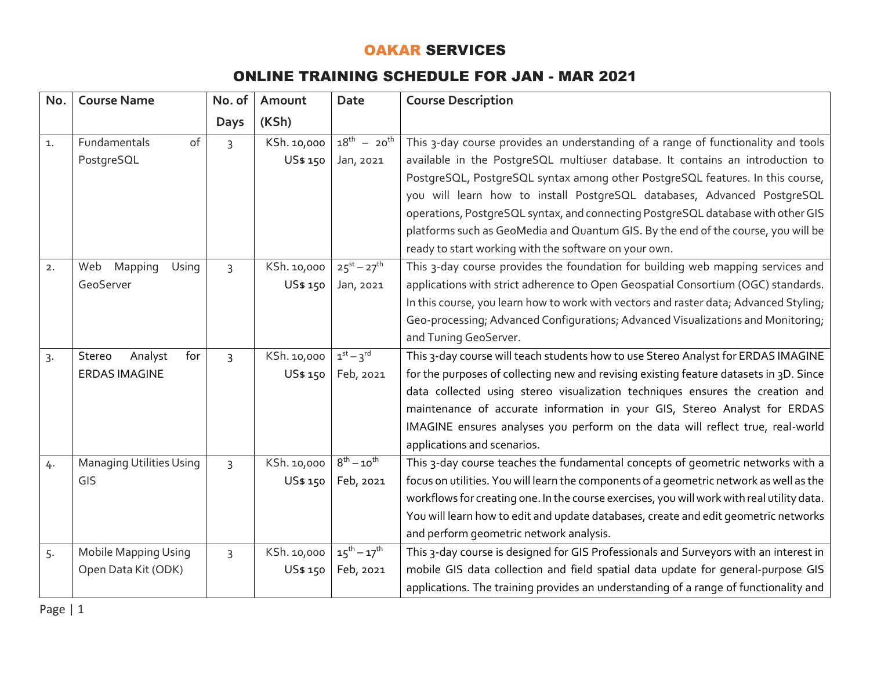## OAKAR SERVICES

## ONLINE TRAINING SCHEDULE FOR JAN - MAR 2021

| No. | <b>Course Name</b>              | No. of         | Amount      | <b>Date</b>         | <b>Course Description</b>                                                                  |
|-----|---------------------------------|----------------|-------------|---------------------|--------------------------------------------------------------------------------------------|
|     |                                 | <b>Days</b>    | (KSh)       |                     |                                                                                            |
| 1.  | Fundamentals<br>of              | $\overline{3}$ | KSh. 10,000 | $18^{th} - 20^{th}$ | This 3-day course provides an understanding of a range of functionality and tools          |
|     | PostgreSQL                      |                | US\$ 150    | Jan, 2021           | available in the PostgreSQL multiuser database. It contains an introduction to             |
|     |                                 |                |             |                     | PostgreSQL, PostgreSQL syntax among other PostgreSQL features. In this course,             |
|     |                                 |                |             |                     | you will learn how to install PostgreSQL databases, Advanced PostgreSQL                    |
|     |                                 |                |             |                     | operations, PostgreSQL syntax, and connecting PostgreSQL database with other GIS           |
|     |                                 |                |             |                     | platforms such as GeoMedia and Quantum GIS. By the end of the course, you will be          |
|     |                                 |                |             |                     | ready to start working with the software on your own.                                      |
| 2.  | Mapping<br>Web<br>Using         | $\overline{3}$ | KSh. 10,000 | $25^{st} - 27^{th}$ | This 3-day course provides the foundation for building web mapping services and            |
|     | GeoServer                       |                | US\$ 150    | Jan, 2021           | applications with strict adherence to Open Geospatial Consortium (OGC) standards.          |
|     |                                 |                |             |                     | In this course, you learn how to work with vectors and raster data; Advanced Styling;      |
|     |                                 |                |             |                     | Geo-processing; Advanced Configurations; Advanced Visualizations and Monitoring;           |
|     |                                 |                |             |                     | and Tuning GeoServer.                                                                      |
| 3.  | Analyst<br>for<br>Stereo        | $\overline{3}$ | KSh. 10,000 | $1st - 3rd$         | This 3-day course will teach students how to use Stereo Analyst for ERDAS IMAGINE          |
|     | <b>ERDAS IMAGINE</b>            |                | US\$ 150    | Feb, 2021           | for the purposes of collecting new and revising existing feature datasets in 3D. Since     |
|     |                                 |                |             |                     | data collected using stereo visualization techniques ensures the creation and              |
|     |                                 |                |             |                     | maintenance of accurate information in your GIS, Stereo Analyst for ERDAS                  |
|     |                                 |                |             |                     | IMAGINE ensures analyses you perform on the data will reflect true, real-world             |
|     |                                 |                |             |                     | applications and scenarios.                                                                |
| 4.  | <b>Managing Utilities Using</b> | $\overline{3}$ | KSh. 10,000 | $8^{th} - 10^{th}$  | This 3-day course teaches the fundamental concepts of geometric networks with a            |
|     | GIS                             |                | US\$ 150    | Feb, 2021           | focus on utilities. You will learn the components of a geometric network as well as the    |
|     |                                 |                |             |                     | workflows for creating one. In the course exercises, you will work with real utility data. |
|     |                                 |                |             |                     | You will learn how to edit and update databases, create and edit geometric networks        |
|     |                                 |                |             |                     | and perform geometric network analysis.                                                    |
| 5.  | Mobile Mapping Using            | $\overline{3}$ | KSh. 10,000 | $15^{th} - 17^{th}$ | This 3-day course is designed for GIS Professionals and Surveyors with an interest in      |
|     | Open Data Kit (ODK)             |                | US\$ 150    | Feb, 2021           | mobile GIS data collection and field spatial data update for general-purpose GIS           |
|     |                                 |                |             |                     | applications. The training provides an understanding of a range of functionality and       |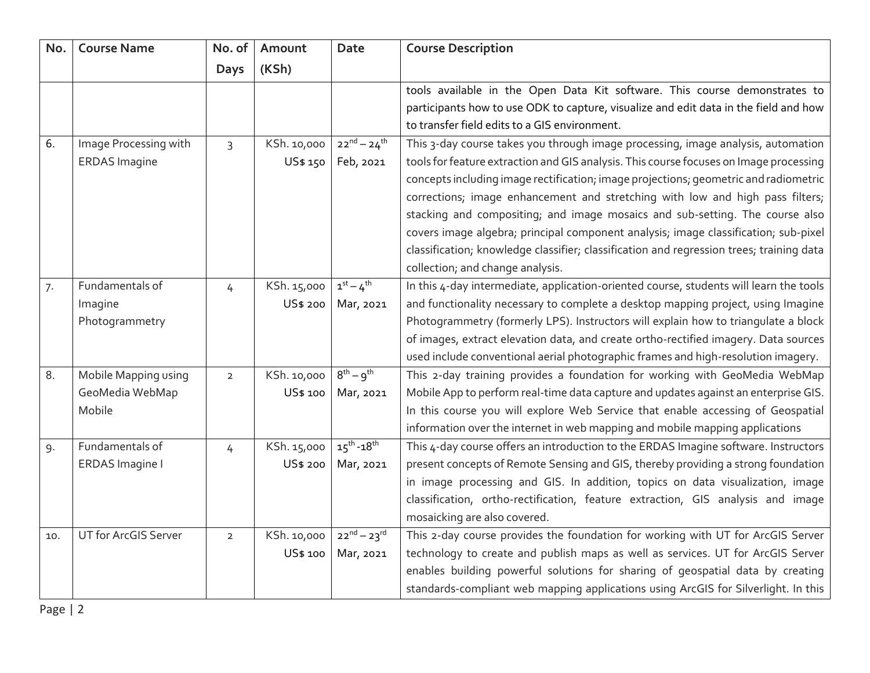| No. | <b>Course Name</b>    | No. of         | Amount      | <b>Date</b>         | <b>Course Description</b>                                                                |
|-----|-----------------------|----------------|-------------|---------------------|------------------------------------------------------------------------------------------|
|     |                       | <b>Days</b>    | (KSh)       |                     |                                                                                          |
|     |                       |                |             |                     | tools available in the Open Data Kit software. This course demonstrates to               |
|     |                       |                |             |                     | participants how to use ODK to capture, visualize and edit data in the field and how     |
|     |                       |                |             |                     | to transfer field edits to a GIS environment.                                            |
| 6.  | Image Processing with | 3              | KSh. 10,000 | $22^{nd} - 24^{th}$ | This 3-day course takes you through image processing, image analysis, automation         |
|     | <b>ERDAS Imagine</b>  |                | US\$ 150    | Feb, 2021           | tools for feature extraction and GIS analysis. This course focuses on Image processing   |
|     |                       |                |             |                     | concepts including image rectification; image projections; geometric and radiometric     |
|     |                       |                |             |                     | corrections; image enhancement and stretching with low and high pass filters;            |
|     |                       |                |             |                     | stacking and compositing; and image mosaics and sub-setting. The course also             |
|     |                       |                |             |                     | covers image algebra; principal component analysis; image classification; sub-pixel      |
|     |                       |                |             |                     | classification; knowledge classifier; classification and regression trees; training data |
|     |                       |                |             |                     | collection; and change analysis.                                                         |
| 7.  | Fundamentals of       | 4              | KSh. 15,000 | $1^{st} - 4^{th}$   | In this 4-day intermediate, application-oriented course, students will learn the tools   |
|     | Imagine               |                | US\$ 200    | Mar, 2021           | and functionality necessary to complete a desktop mapping project, using Imagine         |
|     | Photogrammetry        |                |             |                     | Photogrammetry (formerly LPS). Instructors will explain how to triangulate a block       |
|     |                       |                |             |                     | of images, extract elevation data, and create ortho-rectified imagery. Data sources      |
|     |                       |                |             |                     | used include conventional aerial photographic frames and high-resolution imagery.        |
| 8.  | Mobile Mapping using  | $\overline{2}$ | KSh. 10,000 | $8^{th} - 9^{th}$   | This 2-day training provides a foundation for working with GeoMedia WebMap               |
|     | GeoMedia WebMap       |                | US\$ 100    | Mar, 2021           | Mobile App to perform real-time data capture and updates against an enterprise GIS.      |
|     | Mobile                |                |             |                     | In this course you will explore Web Service that enable accessing of Geospatial          |
|     |                       |                |             |                     | information over the internet in web mapping and mobile mapping applications             |
| 9.  | Fundamentals of       | $\overline{4}$ | KSh. 15,000 | $15^{th} - 18^{th}$ | This 4-day course offers an introduction to the ERDAS Imagine software. Instructors      |
|     | ERDAS Imagine I       |                | US\$ 200    | Mar, 2021           | present concepts of Remote Sensing and GIS, thereby providing a strong foundation        |
|     |                       |                |             |                     | in image processing and GIS. In addition, topics on data visualization, image            |
|     |                       |                |             |                     | classification, ortho-rectification, feature extraction, GIS analysis and image          |
|     |                       |                |             |                     | mosaicking are also covered.                                                             |
| 10. | UT for ArcGIS Server  | $\overline{2}$ | KSh. 10,000 | $22^{nd} - 23^{rd}$ | This 2-day course provides the foundation for working with UT for ArcGIS Server          |
|     |                       |                | US\$ 100    | Mar, 2021           | technology to create and publish maps as well as services. UT for ArcGIS Server          |
|     |                       |                |             |                     | enables building powerful solutions for sharing of geospatial data by creating           |
|     |                       |                |             |                     | standards-compliant web mapping applications using ArcGIS for Silverlight. In this       |